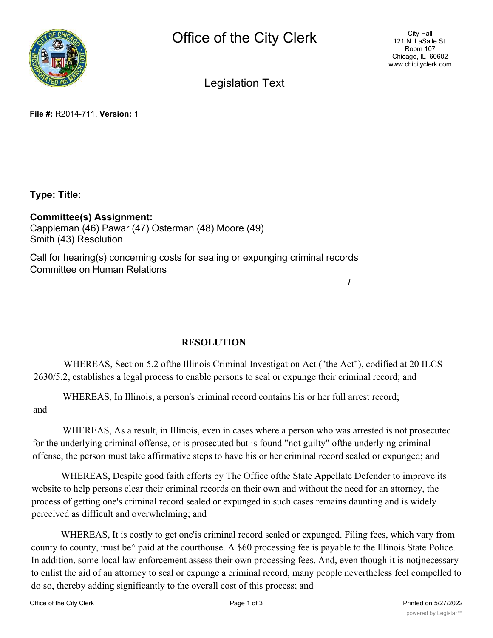

**/**

Legislation Text

**File #:** R2014-711, **Version:** 1

**Type: Title:**

**Committee(s) Assignment:** Cappleman (46) Pawar (47) Osterman (48) Moore (49) Smith (43) Resolution

Call for hearing(s) concerning costs for sealing or expunging criminal records Committee on Human Relations

**RESOLUTION**

WHEREAS, Section 5.2 ofthe Illinois Criminal Investigation Act ("the Act"), codified at 20 ILCS 2630/5.2, establishes a legal process to enable persons to seal or expunge their criminal record; and

WHEREAS, In Illinois, a person's criminal record contains his or her full arrest record;

and

WHEREAS, As a result, in Illinois, even in cases where a person who was arrested is not prosecuted for the underlying criminal offense, or is prosecuted but is found "not guilty" ofthe underlying criminal offense, the person must take affirmative steps to have his or her criminal record sealed or expunged; and

WHEREAS, Despite good faith efforts by The Office ofthe State Appellate Defender to improve its website to help persons clear their criminal records on their own and without the need for an attorney, the process of getting one's criminal record sealed or expunged in such cases remains daunting and is widely perceived as difficult and overwhelming; and

WHEREAS, It is costly to get one'is criminal record sealed or expunged. Filing fees, which vary from county to county, must be^ paid at the courthouse. A \$60 processing fee is payable to the Illinois State Police. In addition, some local law enforcement assess their own processing fees. And, even though it is notjnecessary to enlist the aid of an attorney to seal or expunge a criminal record, many people nevertheless feel compelled to do so, thereby adding significantly to the overall cost of this process; and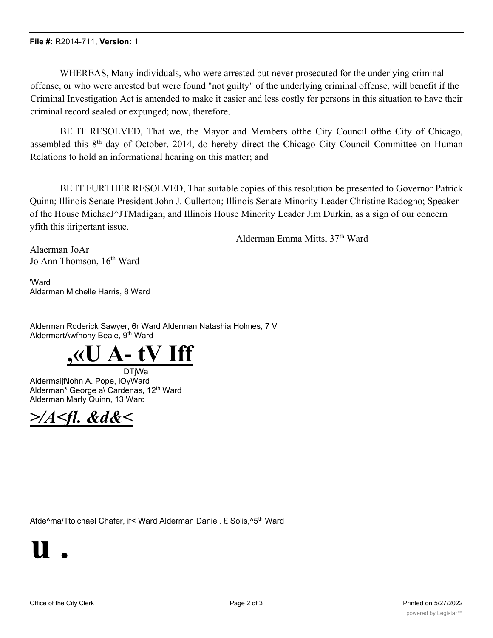WHEREAS, Many individuals, who were arrested but never prosecuted for the underlying criminal offense, or who were arrested but were found "not guilty" of the underlying criminal offense, will benefit if the Criminal Investigation Act is amended to make it easier and less costly for persons in this situation to have their criminal record sealed or expunged; now, therefore,

BE IT RESOLVED, That we, the Mayor and Members ofthe City Council ofthe City of Chicago, assembled this 8th day of October, 2014, do hereby direct the Chicago City Council Committee on Human Relations to hold an informational hearing on this matter; and

BE IT FURTHER RESOLVED, That suitable copies of this resolution be presented to Governor Patrick Quinn; Illinois Senate President John J. Cullerton; Illinois Senate Minority Leader Christine Radogno; Speaker of the House MichaeJ^JTMadigan; and Illinois House Minority Leader Jim Durkin, as a sign of our concern yfith this iiripertant issue.

Alderman Emma Mitts, 37th Ward

Alaerman JoAr Jo Ann Thomson, 16<sup>th</sup> Ward

'Ward Alderman Michelle Harris, 8 Ward

Alderman Roderick Sawyer, 6r Ward Alderman Natashia Holmes, 7 V AldermartAwfhony Beale, 9<sup>th</sup> Ward



DTjWa Aldermaijf\lohn A. Pope, lOyWard Alderman\* George a\ Cardenas, 12<sup>th</sup> Ward Alderman Marty Quinn, 13 Ward



Afde^ma/Ttoichael Chafer, if< Ward Alderman Daniel. £ Solis,^5<sup>th</sup> Ward